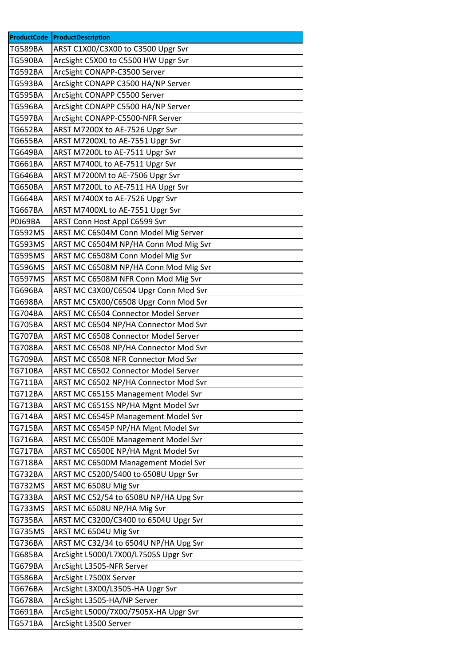| <b>ProductCode</b> | ProductDescription                    |
|--------------------|---------------------------------------|
| <b>TG589BA</b>     | ARST C1X00/C3X00 to C3500 Upgr Svr    |
| <b>TG590BA</b>     | ArcSight C5X00 to C5500 HW Upgr Svr   |
| TG592BA            | ArcSight CONAPP-C3500 Server          |
| <b>TG593BA</b>     | ArcSight CONAPP C3500 HA/NP Server    |
| <b>TG595BA</b>     | ArcSight CONAPP C5500 Server          |
| <b>TG596BA</b>     | ArcSight CONAPP C5500 HA/NP Server    |
| <b>TG597BA</b>     | ArcSight CONAPP-C5500-NFR Server      |
| <b>TG652BA</b>     | ARST M7200X to AE-7526 Upgr Svr       |
| <b>TG655BA</b>     | ARST M7200XL to AE-7551 Upgr Svr      |
| <b>TG649BA</b>     | ARST M7200L to AE-7511 Upgr Svr       |
| <b>TG661BA</b>     | ARST M7400L to AE-7511 Upgr Svr       |
| <b>TG646BA</b>     | ARST M7200M to AE-7506 Upgr Svr       |
| <b>TG650BA</b>     | ARST M7200L to AE-7511 HA Upgr Svr    |
| <b>TG664BA</b>     | ARST M7400X to AE-7526 Upgr Svr       |
| <b>TG667BA</b>     | ARST M7400XL to AE-7551 Upgr Svr      |
| POJ69BA            | ARST Conn Host Appl C6599 Svr         |
| <b>TG592MS</b>     | ARST MC C6504M Conn Model Mig Server  |
| <b>TG593MS</b>     | ARST MC C6504M NP/HA Conn Mod Mig Svr |
| <b>TG595MS</b>     | ARST MC C6508M Conn Model Mig Svr     |
| <b>TG596MS</b>     | ARST MC C6508M NP/HA Conn Mod Mig Svr |
| <b>TG597MS</b>     | ARST MC C6508M NFR Conn Mod Mig Svr   |
| <b>TG696BA</b>     | ARST MC C3X00/C6504 Upgr Conn Mod Svr |
| <b>TG698BA</b>     | ARST MC C5X00/C6508 Upgr Conn Mod Svr |
| <b>TG704BA</b>     | ARST MC C6504 Connector Model Server  |
| <b>TG705BA</b>     | ARST MC C6504 NP/HA Connector Mod Svr |
| <b>TG707BA</b>     | ARST MC C6508 Connector Model Server  |
| <b>TG708BA</b>     | ARST MC C6508 NP/HA Connector Mod Svr |
| <b>TG709BA</b>     | ARST MC C6508 NFR Connector Mod Svr   |
| <b>TG710BA</b>     | ARST MC C6502 Connector Model Server  |
| TG711BA            | ARST MC C6502 NP/HA Connector Mod Svr |
| <b>TG712BA</b>     | ARST MC C6515S Management Model Svr   |
| <b>TG713BA</b>     | ARST MC C6515S NP/HA Mgnt Model Svr   |
| <b>TG714BA</b>     | ARST MC C6545P Management Model Svr   |
| <b>TG715BA</b>     | ARST MC C6545P NP/HA Mgnt Model Svr   |
| <b>TG716BA</b>     | ARST MC C6500E Management Model Svr   |
| <b>TG717BA</b>     | ARST MC C6500E NP/HA Mgnt Model Svr   |
| <b>TG718BA</b>     | ARST MC C6500M Management Model Svr   |
| <b>TG732BA</b>     | ARST MC C5200/5400 to 6508U Upgr Svr  |
| <b>TG732MS</b>     | ARST MC 6508U Mig Svr                 |
| <b>TG733BA</b>     | ARST MC C52/54 to 6508U NP/HA Upg Svr |
| <b>TG733MS</b>     | ARST MC 6508U NP/HA Mig Svr           |
| <b>TG735BA</b>     | ARST MC C3200/C3400 to 6504U Upgr Svr |
| <b>TG735MS</b>     | ARST MC 6504U Mig Svr                 |
| <b>TG736BA</b>     | ARST MC C32/34 to 6504U NP/HA Upg Svr |
| <b>TG685BA</b>     | ArcSight L5000/L7X00/L7505S Upgr Svr  |
| <b>TG679BA</b>     | ArcSight L3505-NFR Server             |
| <b>TG586BA</b>     | ArcSight L7500X Server                |
| <b>TG676BA</b>     | ArcSight L3X00/L3505-HA Upgr Svr      |
| <b>TG678BA</b>     | ArcSight L3505-HA/NP Server           |
| <b>TG691BA</b>     | ArcSight L5000/7X00/7505X-HA Upgr Svr |
| <b>TG571BA</b>     | ArcSight L3500 Server                 |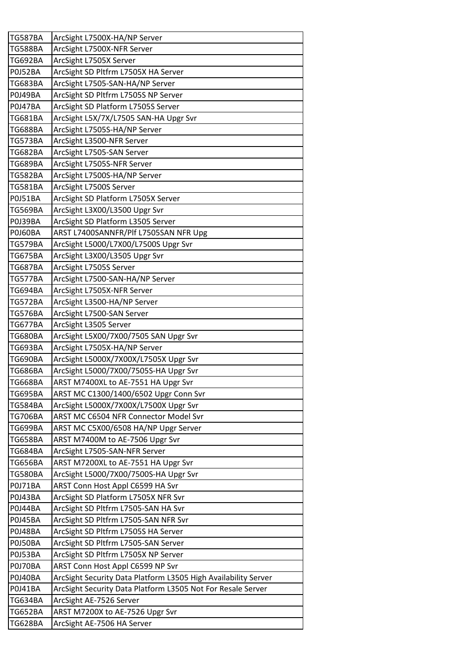| <b>TG587BA</b> | ArcSight L7500X-HA/NP Server                                   |
|----------------|----------------------------------------------------------------|
| <b>TG588BA</b> | ArcSight L7500X-NFR Server                                     |
| TG692BA        | ArcSight L7505X Server                                         |
| <b>P0J52BA</b> | ArcSight SD Pltfrm L7505X HA Server                            |
| <b>TG683BA</b> | ArcSight L7505-SAN-HA/NP Server                                |
| P0J49BA        | ArcSight SD Pltfrm L7505S NP Server                            |
| P0J47BA        | ArcSight SD Platform L7505S Server                             |
| TG681BA        | ArcSight L5X/7X/L7505 SAN-HA Upgr Svr                          |
| <b>TG688BA</b> | ArcSight L7505S-HA/NP Server                                   |
| TG573BA        | ArcSight L3500-NFR Server                                      |
| <b>TG682BA</b> | ArcSight L7505-SAN Server                                      |
| TG689BA        | ArcSight L7505S-NFR Server                                     |
| <b>TG582BA</b> | ArcSight L7500S-HA/NP Server                                   |
| <b>TG581BA</b> | ArcSight L7500S Server                                         |
| P0J51BA        | ArcSight SD Platform L7505X Server                             |
| <b>TG569BA</b> | ArcSight L3X00/L3500 Upgr Svr                                  |
| P0J39BA        | ArcSight SD Platform L3505 Server                              |
| POJ60BA        | ARST L7400SANNFR/Plf L7505SAN NFR Upg                          |
| TG579BA        | ArcSight L5000/L7X00/L7500S Upgr Svr                           |
| <b>TG675BA</b> | ArcSight L3X00/L3505 Upgr Svr                                  |
| <b>TG687BA</b> | ArcSight L7505S Server                                         |
| TG577BA        | ArcSight L7500-SAN-HA/NP Server                                |
| <b>TG694BA</b> | ArcSight L7505X-NFR Server                                     |
| <b>TG572BA</b> | ArcSight L3500-HA/NP Server                                    |
| <b>TG576BA</b> | ArcSight L7500-SAN Server                                      |
| TG677BA        | ArcSight L3505 Server                                          |
| <b>TG680BA</b> | ArcSight L5X00/7X00/7505 SAN Upgr Svr                          |
| <b>TG693BA</b> | ArcSight L7505X-HA/NP Server                                   |
| <b>TG690BA</b> | ArcSight L5000X/7X00X/L7505X Upgr Svr                          |
| <b>TG686BA</b> | ArcSight L5000/7X00/7505S-HA Upgr Svr                          |
| <b>TG668BA</b> | ARST M7400XL to AE-7551 HA Upgr Svr                            |
| <b>TG695BA</b> | ARST MC C1300/1400/6502 Upgr Conn Svr                          |
| <b>TG584BA</b> | ArcSight L5000X/7X00X/L7500X Upgr Svr                          |
| TG706BA        | ARST MC C6504 NFR Connector Model Svr                          |
| TG699BA        | ARST MC C5X00/6508 HA/NP Upgr Server                           |
| <b>TG658BA</b> | ARST M7400M to AE-7506 Upgr Svr                                |
| TG684BA        | ArcSight L7505-SAN-NFR Server                                  |
| TG656BA        | ARST M7200XL to AE-7551 HA Upgr Svr                            |
| <b>TG580BA</b> | ArcSight L5000/7X00/7500S-HA Upgr Svr                          |
| P0J71BA        | ARST Conn Host Appl C6599 HA Svr                               |
| P0J43BA        | ArcSight SD Platform L7505X NFR Svr                            |
| P0J44BA        | ArcSight SD Pltfrm L7505-SAN HA Svr                            |
| P0J45BA        | ArcSight SD Pltfrm L7505-SAN NFR Svr                           |
| P0J48BA        | ArcSight SD Pltfrm L7505S HA Server                            |
| P0J50BA        | ArcSight SD Pltfrm L7505-SAN Server                            |
| <b>P0J53BA</b> | ArcSight SD Pltfrm L7505X NP Server                            |
| P0J70BA        | ARST Conn Host Appl C6599 NP Svr                               |
| P0J40BA        | ArcSight Security Data Platform L3505 High Availability Server |
| P0J41BA        | ArcSight Security Data Platform L3505 Not For Resale Server    |
| TG634BA        | ArcSight AE-7526 Server                                        |
| TG652BA        | ARST M7200X to AE-7526 Upgr Svr                                |
| <b>TG628BA</b> | ArcSight AE-7506 HA Server                                     |